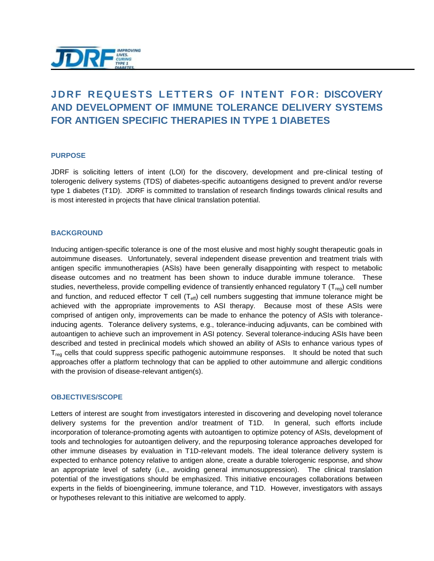

# **JDRF REQUESTS LETTERS OF INTENT FOR: DISCOVERY AND DEVELOPMENT OF IMMUNE TOLERANCE DELIVERY SYSTEMS FOR ANTIGEN SPECIFIC THERAPIES IN TYPE 1 DIABETES**

#### **PURPOSE**

JDRF is soliciting letters of intent (LOI) for the discovery, development and pre-clinical testing of tolerogenic delivery systems (TDS) of diabetes-specific autoantigens designed to prevent and/or reverse type 1 diabetes (T1D). JDRF is committed to translation of research findings towards clinical results and is most interested in projects that have clinical translation potential.

#### **BACKGROUND**

Inducing antigen-specific tolerance is one of the most elusive and most highly sought therapeutic goals in autoimmune diseases. Unfortunately, several independent disease prevention and treatment trials with antigen specific immunotherapies (ASIs) have been generally disappointing with respect to metabolic disease outcomes and no treatment has been shown to induce durable immune tolerance. These studies, nevertheless, provide compelling evidence of transiently enhanced regulatory  $T (T_{\text{req}})$  cell number and function, and reduced effector  $T$  cell  $(T_{\text{eff}})$  cell numbers suggesting that immune tolerance might be achieved with the appropriate improvements to ASI therapy. Because most of these ASIs were comprised of antigen only, improvements can be made to enhance the potency of ASIs with toleranceinducing agents. Tolerance delivery systems, e.g., tolerance-inducing adjuvants, can be combined with autoantigen to achieve such an improvement in ASI potency. Several tolerance-inducing ASIs have been described and tested in preclinical models which showed an ability of ASIs to enhance various types of  $T_{\text{rea}}$  cells that could suppress specific pathogenic autoimmune responses. It should be noted that such approaches offer a platform technology that can be applied to other autoimmune and allergic conditions with the provision of disease-relevant antigen(s).

#### **OBJECTIVES/SCOPE**

Letters of interest are sought from investigators interested in discovering and developing novel tolerance delivery systems for the prevention and/or treatment of T1D. In general, such efforts include incorporation of tolerance-promoting agents with autoantigen to optimize potency of ASIs, development of tools and technologies for autoantigen delivery, and the repurposing tolerance approaches developed for other immune diseases by evaluation in T1D-relevant models. The ideal tolerance delivery system is expected to enhance potency relative to antigen alone, create a durable tolerogenic response, and show an appropriate level of safety (i.e., avoiding general immunosuppression). The clinical translation potential of the investigations should be emphasized. This initiative encourages collaborations between experts in the fields of bioengineering, immune tolerance, and T1D. However, investigators with assays or hypotheses relevant to this initiative are welcomed to apply.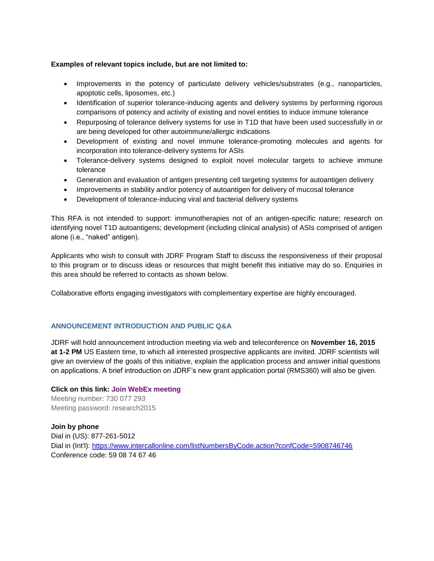### **Examples of relevant topics include, but are not limited to:**

- Improvements in the potency of particulate delivery vehicles/substrates (e.g., nanoparticles, apoptotic cells, liposomes, etc.)
- Identification of superior tolerance-inducing agents and delivery systems by performing rigorous comparisons of potency and activity of existing and novel entities to induce immune tolerance
- Repurposing of tolerance delivery systems for use in T1D that have been used successfully in or are being developed for other autoimmune/allergic indications
- Development of existing and novel immune tolerance-promoting molecules and agents for incorporation into tolerance-delivery systems for ASIs
- Tolerance-delivery systems designed to exploit novel molecular targets to achieve immune tolerance
- Generation and evaluation of antigen presenting cell targeting systems for autoantigen delivery
- Improvements in stability and/or potency of autoantigen for delivery of mucosal tolerance
- Development of tolerance-inducing viral and bacterial delivery systems

This RFA is not intended to support: immunotherapies not of an antigen-specific nature; research on identifying novel T1D autoantigens; development (including clinical analysis) of ASIs comprised of antigen alone (i.e., "naked" antigen).

Applicants who wish to consult with JDRF Program Staff to discuss the responsiveness of their proposal to this program or to discuss ideas or resources that might benefit this initiative may do so. Enquiries in this area should be referred to contacts as shown below.

Collaborative efforts engaging investigators with complementary expertise are highly encouraged.

## **ANNOUNCEMENT INTRODUCTION AND PUBLIC Q&A**

JDRF will hold announcement introduction meeting via web and teleconference on **November 16, 2015 at 1-2 PM** US Eastern time, to which all interested prospective applicants are invited. JDRF scientists will give an overview of the goals of this initiative, explain the application process and answer initial questions on applications. A brief introduction on JDRF's new grant application portal (RMS360) will also be given.

**Click on this link: [Join WebEx meeting](https://jdrfmeetings.webex.com/jdrfmeetings/j.php?MTID=m9e2dbac643386e0a747d9414ffc96334)** Meeting number: 730 077 293 Meeting password: research2015

**Join by phone** Dial in (US): 877-261-5012 Dial in (Int'l):<https://www.intercallonline.com/listNumbersByCode.action?confCode=5908746746> Conference code: 59 08 74 67 46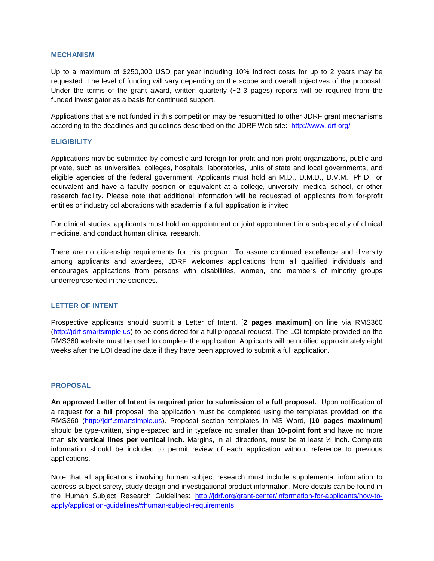#### **MECHANISM**

Up to a maximum of \$250,000 USD per year including 10% indirect costs for up to 2 years may be requested. The level of funding will vary depending on the scope and overall objectives of the proposal. Under the terms of the grant award, written quarterly  $(-2-3)$  pages) reports will be required from the funded investigator as a basis for continued support.

Applications that are not funded in this competition may be resubmitted to other JDRF grant mechanisms according to the deadlines and guidelines described on the JDRF Web site: <http://www.jdrf.org/>

#### **ELIGIBILITY**

Applications may be submitted by domestic and foreign for profit and non-profit organizations, public and private, such as universities, colleges, hospitals, laboratories, units of state and local governments, and eligible agencies of the federal government. Applicants must hold an M.D., D.M.D., D.V.M., Ph.D., or equivalent and have a faculty position or equivalent at a college, university, medical school, or other research facility. Please note that additional information will be requested of applicants from for-profit entities or industry collaborations with academia if a full application is invited.

For clinical studies, applicants must hold an appointment or joint appointment in a subspecialty of clinical medicine, and conduct human clinical research.

There are no citizenship requirements for this program. To assure continued excellence and diversity among applicants and awardees, JDRF welcomes applications from all qualified individuals and encourages applications from persons with disabilities, women, and members of minority groups underrepresented in the sciences.

## **LETTER OF INTENT**

Prospective applicants should submit a Letter of Intent, [**2 pages maximum**] on line via RMS360 [\(http://jdrf.smartsimple.us\)](http://jdrf.smartsimple.us/) to be considered for a full proposal request. The LOI template provided on the RMS360 website must be used to complete the application. Applicants will be notified approximately eight weeks after the LOI deadline date if they have been approved to submit a full application.

## **PROPOSAL**

**An approved Letter of Intent is required prior to submission of a full proposal.** Upon notification of a request for a full proposal, the application must be completed using the templates provided on the RMS360 [\(http://jdrf.smartsimple.us\)](http://jdrf.smartsimple.us/). Proposal section templates in MS Word, [**10 pages maximum**] should be type-written, single-spaced and in typeface no smaller than **10-point font** and have no more than **six vertical lines per vertical inch**. Margins, in all directions, must be at least ½ inch. Complete information should be included to permit review of each application without reference to previous applications.

Note that all applications involving human subject research must include supplemental information to address subject safety, study design and investigational product information. More details can be found in the Human Subject Research Guidelines: [http://jdrf.org/grant-center/information-for-applicants/how-to](http://jdrf.org/grant-center/information-for-applicants/how-to-apply/application-guidelines/#human-subject-requirements)[apply/application-guidelines/#human-subject-requirements](http://jdrf.org/grant-center/information-for-applicants/how-to-apply/application-guidelines/#human-subject-requirements)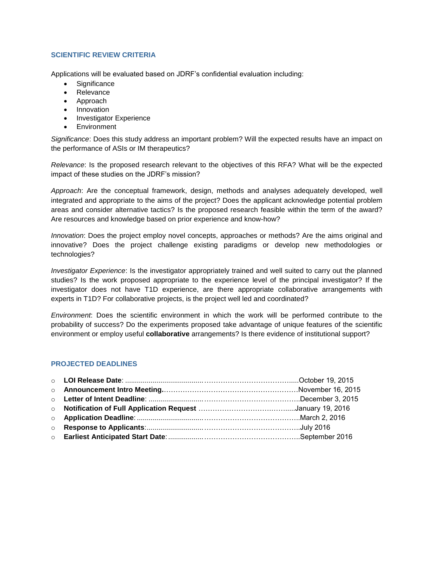# **SCIENTIFIC REVIEW CRITERIA**

Applications will be evaluated based on JDRF's confidential evaluation including:

- **Significance**
- Relevance
- Approach
- Innovation
- Investigator Experience
- Environment

*Significance*: Does this study address an important problem? Will the expected results have an impact on the performance of ASIs or IM therapeutics?

*Relevance*: Is the proposed research relevant to the objectives of this RFA? What will be the expected impact of these studies on the JDRF's mission?

*Approach*: Are the conceptual framework, design, methods and analyses adequately developed, well integrated and appropriate to the aims of the project? Does the applicant acknowledge potential problem areas and consider alternative tactics? Is the proposed research feasible within the term of the award? Are resources and knowledge based on prior experience and know-how?

*Innovation*: Does the project employ novel concepts, approaches or methods? Are the aims original and innovative? Does the project challenge existing paradigms or develop new methodologies or technologies?

*Investigator Experience*: Is the investigator appropriately trained and well suited to carry out the planned studies? Is the work proposed appropriate to the experience level of the principal investigator? If the investigator does not have T1D experience, are there appropriate collaborative arrangements with experts in T1D? For collaborative projects, is the project well led and coordinated?

*Environment*: Does the scientific environment in which the work will be performed contribute to the probability of success? Do the experiments proposed take advantage of unique features of the scientific environment or employ useful **collaborative** arrangements? Is there evidence of institutional support?

## **PROJECTED DEADLINES**